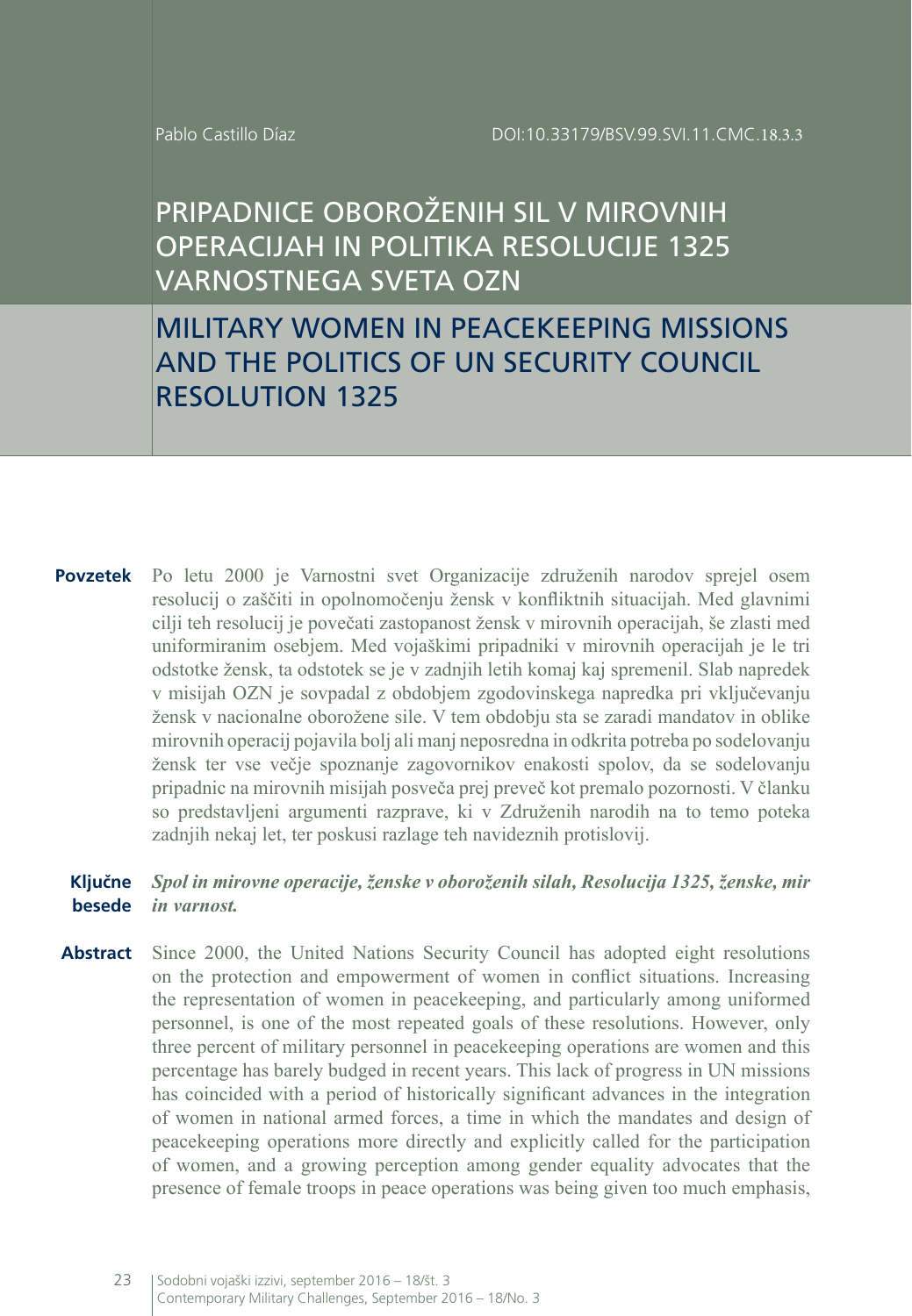# PRIPADNICE OBOROŽENIH SIL V MIROVNIH OPERACIJAH IN POLITIKA RESOLUCIJE 1325 VARNOSTNEGA SVETA OZN

MILITARY WOMEN IN PEACEKEEPING MISSIONS AND THE POLITICS OF UN SECURITY COUNCIL RESOLUTION 1325

**Povzetek** Po letu 2000 je Varnostni svet Organizacije združenih narodov sprejel osem resolucij o zaščiti in opolnomočenju žensk v konfliktnih situacijah. Med glavnimi cilji teh resolucij je povečati zastopanost žensk v mirovnih operacijah, še zlasti med uniformiranim osebjem. Med vojaškimi pripadniki v mirovnih operacijah je le tri odstotke žensk, ta odstotek se je v zadnjih letih komaj kaj spremenil. Slab napredek v misijah OZN je sovpadal z obdobjem zgodovinskega napredka pri vključevanju žensk v nacionalne oborožene sile. V tem obdobju sta se zaradi mandatov in oblike mirovnih operacij pojavila bolj ali manj neposredna in odkrita potreba po sodelovanju žensk ter vse večje spoznanje zagovornikov enakosti spolov, da se sodelovanju pripadnic na mirovnih misijah posveča prej preveč kot premalo pozornosti. V članku so predstavljeni argumenti razprave, ki v Združenih narodih na to temo poteka zadnjih nekaj let, ter poskusi razlage teh navideznih protislovij.

#### **Ključne besede** *Spol in mirovne operacije, ženske v oboroženih silah, Resolucija 1325, ženske, mir in varnost.*

**Abstract** Since 2000, the United Nations Security Council has adopted eight resolutions on the protection and empowerment of women in conflict situations. Increasing the representation of women in peacekeeping, and particularly among uniformed personnel, is one of the most repeated goals of these resolutions. However, only three percent of military personnel in peacekeeping operations are women and this percentage has barely budged in recent years. This lack of progress in UN missions has coincided with a period of historically significant advances in the integration of women in national armed forces, a time in which the mandates and design of peacekeeping operations more directly and explicitly called for the participation of women, and a growing perception among gender equality advocates that the presence of female troops in peace operations was being given too much emphasis,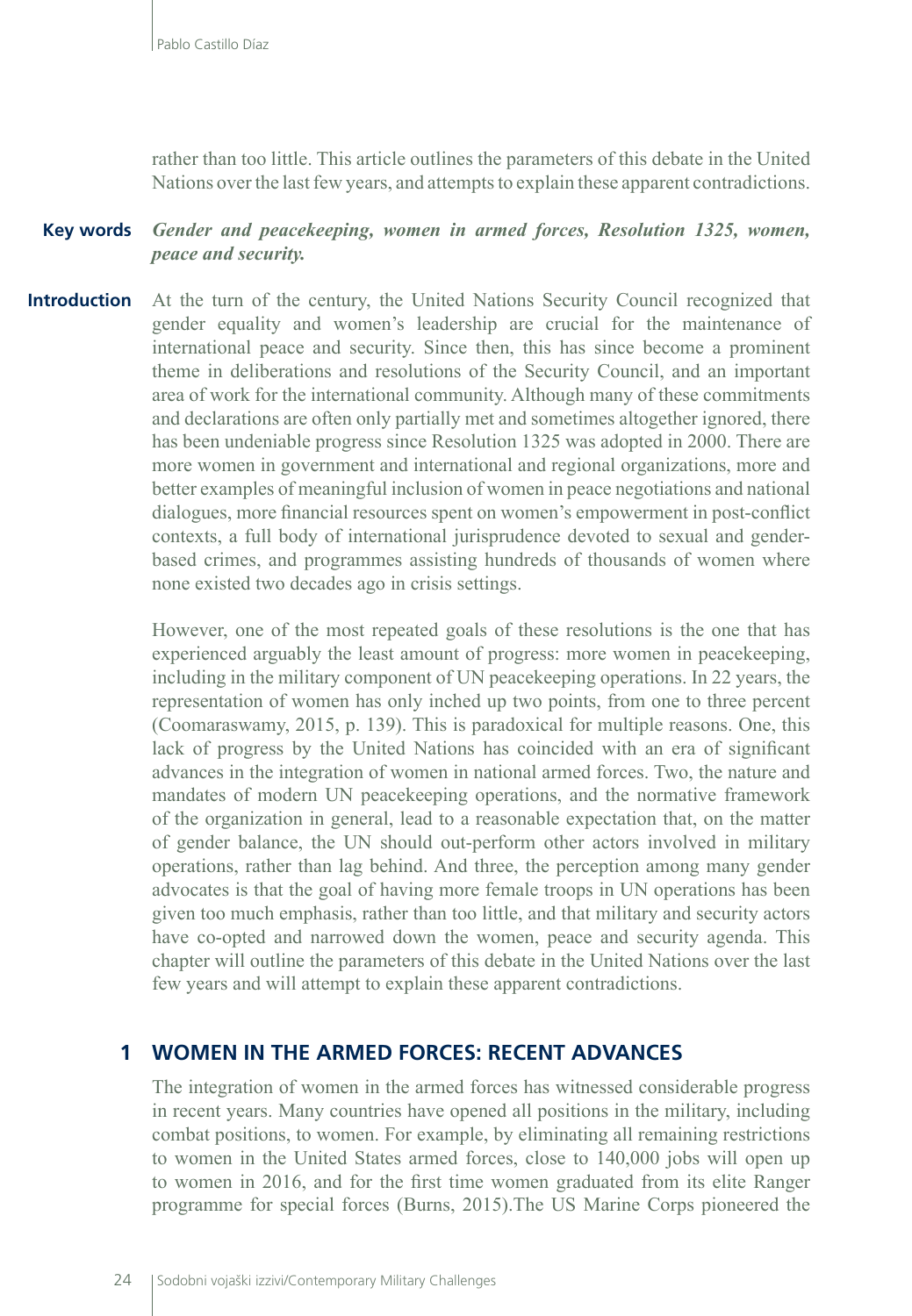rather than too little. This article outlines the parameters of this debate in the United Nations over the last few years, and attempts to explain these apparent contradictions.

### **Key words** *Gender and peacekeeping, women in armed forces, Resolution 1325, women, peace and security.*

**Introduction** At the turn of the century, the United Nations Security Council recognized that gender equality and women's leadership are crucial for the maintenance of international peace and security. Since then, this has since become a prominent theme in deliberations and resolutions of the Security Council, and an important area of work for the international community. Although many of these commitments and declarations are often only partially met and sometimes altogether ignored, there has been undeniable progress since Resolution 1325 was adopted in 2000. There are more women in government and international and regional organizations, more and better examples of meaningful inclusion of women in peace negotiations and national dialogues, more financial resources spent on women's empowerment in post-conflict contexts, a full body of international jurisprudence devoted to sexual and genderbased crimes, and programmes assisting hundreds of thousands of women where none existed two decades ago in crisis settings.

> However, one of the most repeated goals of these resolutions is the one that has experienced arguably the least amount of progress: more women in peacekeeping, including in the military component of UN peacekeeping operations. In 22 years, the representation of women has only inched up two points, from one to three percent (Coomaraswamy, 2015, p. 139). This is paradoxical for multiple reasons. One, this lack of progress by the United Nations has coincided with an era of significant advances in the integration of women in national armed forces. Two, the nature and mandates of modern UN peacekeeping operations, and the normative framework of the organization in general, lead to a reasonable expectation that, on the matter of gender balance, the UN should out-perform other actors involved in military operations, rather than lag behind. And three, the perception among many gender advocates is that the goal of having more female troops in UN operations has been given too much emphasis, rather than too little, and that military and security actors have co-opted and narrowed down the women, peace and security agenda. This chapter will outline the parameters of this debate in the United Nations over the last few years and will attempt to explain these apparent contradictions.

## **1 WOMEN IN THE ARMED FORCES: RECENT ADVANCES**

The integration of women in the armed forces has witnessed considerable progress in recent years. Many countries have opened all positions in the military, including combat positions, to women. For example, by eliminating all remaining restrictions to women in the United States armed forces, close to 140,000 jobs will open up to women in 2016, and for the first time women graduated from its elite Ranger programme for special forces (Burns, 2015).The US Marine Corps pioneered the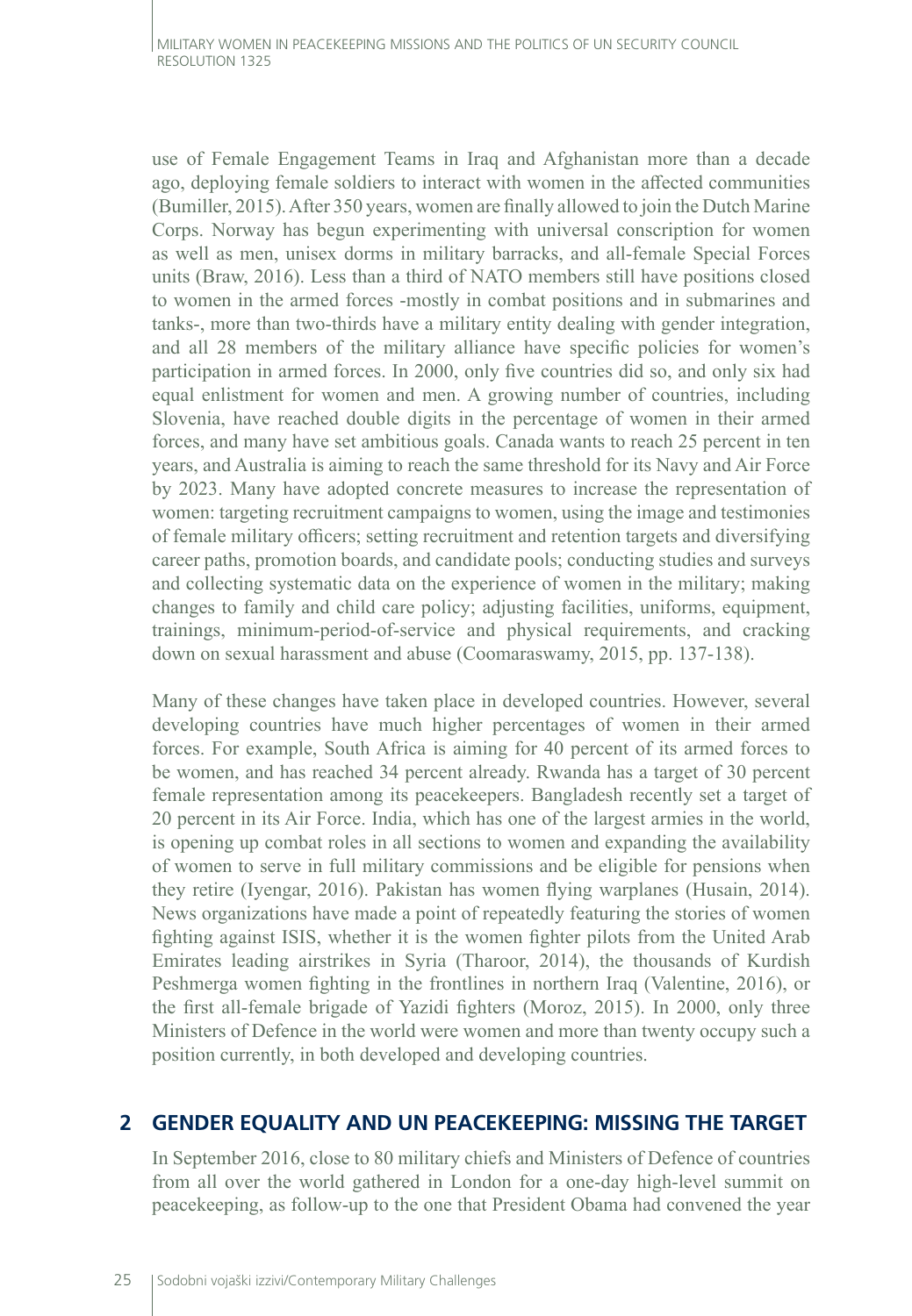use of Female Engagement Teams in Iraq and Afghanistan more than a decade ago, deploying female soldiers to interact with women in the affected communities (Bumiller, 2015). After 350 years, women are finally allowed to join the Dutch Marine Corps. Norway has begun experimenting with universal conscription for women as well as men, unisex dorms in military barracks, and all-female Special Forces units (Braw, 2016). Less than a third of NATO members still have positions closed to women in the armed forces -mostly in combat positions and in submarines and tanks-, more than two-thirds have a military entity dealing with gender integration, and all 28 members of the military alliance have specific policies for women's participation in armed forces. In 2000, only five countries did so, and only six had equal enlistment for women and men. A growing number of countries, including Slovenia, have reached double digits in the percentage of women in their armed forces, and many have set ambitious goals. Canada wants to reach 25 percent in ten years, and Australia is aiming to reach the same threshold for its Navy and Air Force by 2023. Many have adopted concrete measures to increase the representation of women: targeting recruitment campaigns to women, using the image and testimonies of female military officers; setting recruitment and retention targets and diversifying career paths, promotion boards, and candidate pools; conducting studies and surveys and collecting systematic data on the experience of women in the military; making changes to family and child care policy; adjusting facilities, uniforms, equipment, trainings, minimum-period-of-service and physical requirements, and cracking down on sexual harassment and abuse (Coomaraswamy, 2015, pp. 137-138).

Many of these changes have taken place in developed countries. However, several developing countries have much higher percentages of women in their armed forces. For example, South Africa is aiming for 40 percent of its armed forces to be women, and has reached 34 percent already. Rwanda has a target of 30 percent female representation among its peacekeepers. Bangladesh recently set a target of 20 percent in its Air Force. India, which has one of the largest armies in the world, is opening up combat roles in all sections to women and expanding the availability of women to serve in full military commissions and be eligible for pensions when they retire (Iyengar, 2016). Pakistan has women flying warplanes (Husain, 2014). News organizations have made a point of repeatedly featuring the stories of women fighting against ISIS, whether it is the women fighter pilots from the United Arab Emirates leading airstrikes in Syria (Tharoor, 2014), the thousands of Kurdish Peshmerga women fighting in the frontlines in northern Iraq (Valentine, 2016), or the first all-female brigade of Yazidi fighters (Moroz, 2015). In 2000, only three Ministers of Defence in the world were women and more than twenty occupy such a position currently, in both developed and developing countries.

### **2 GENDER EQUALITY AND UN PEACEKEEPING: MISSING THE TARGET**

In September 2016, close to 80 military chiefs and Ministers of Defence of countries from all over the world gathered in London for a one-day high-level summit on peacekeeping, as follow-up to the one that President Obama had convened the year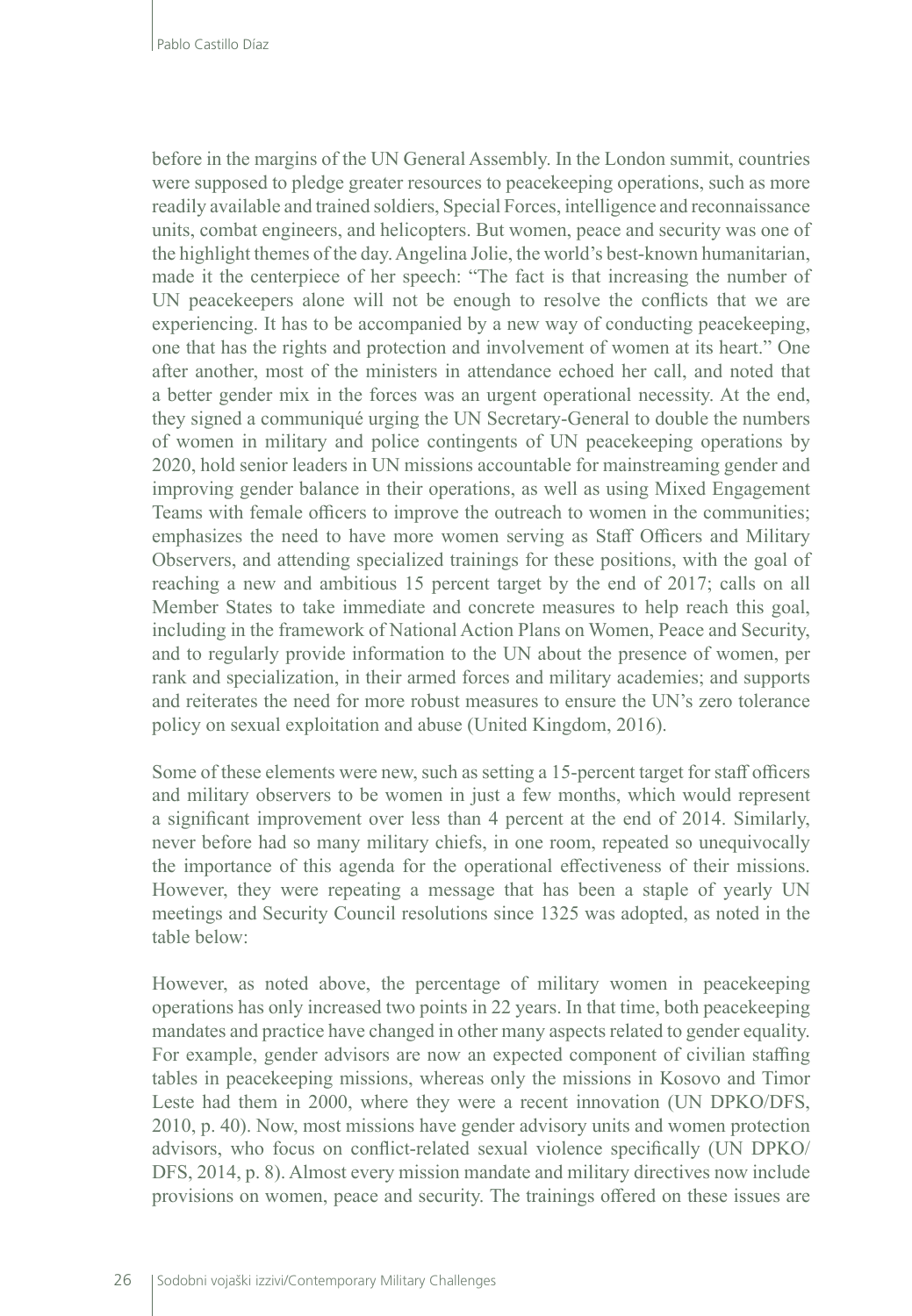before in the margins of the UN General Assembly. In the London summit, countries were supposed to pledge greater resources to peacekeeping operations, such as more readily available and trained soldiers, Special Forces, intelligence and reconnaissance units, combat engineers, and helicopters. But women, peace and security was one of the highlight themes of the day. Angelina Jolie, the world's best-known humanitarian, made it the centerpiece of her speech: "The fact is that increasing the number of UN peacekeepers alone will not be enough to resolve the conflicts that we are experiencing. It has to be accompanied by a new way of conducting peacekeeping, one that has the rights and protection and involvement of women at its heart." One after another, most of the ministers in attendance echoed her call, and noted that a better gender mix in the forces was an urgent operational necessity. At the end, they signed a communiqué urging the UN Secretary-General to double the numbers of women in military and police contingents of UN peacekeeping operations by 2020, hold senior leaders in UN missions accountable for mainstreaming gender and improving gender balance in their operations, as well as using Mixed Engagement Teams with female officers to improve the outreach to women in the communities; emphasizes the need to have more women serving as Staff Officers and Military Observers, and attending specialized trainings for these positions, with the goal of reaching a new and ambitious 15 percent target by the end of 2017; calls on all Member States to take immediate and concrete measures to help reach this goal, including in the framework of National Action Plans on Women, Peace and Security, and to regularly provide information to the UN about the presence of women, per rank and specialization, in their armed forces and military academies; and supports and reiterates the need for more robust measures to ensure the UN's zero tolerance policy on sexual exploitation and abuse (United Kingdom, 2016).

Some of these elements were new, such as setting a 15-percent target for staff officers and military observers to be women in just a few months, which would represent a significant improvement over less than 4 percent at the end of 2014. Similarly, never before had so many military chiefs, in one room, repeated so unequivocally the importance of this agenda for the operational effectiveness of their missions. However, they were repeating a message that has been a staple of yearly UN meetings and Security Council resolutions since 1325 was adopted, as noted in the table below:

However, as noted above, the percentage of military women in peacekeeping operations has only increased two points in 22 years. In that time, both peacekeeping mandates and practice have changed in other many aspects related to gender equality. For example, gender advisors are now an expected component of civilian staffing tables in peacekeeping missions, whereas only the missions in Kosovo and Timor Leste had them in 2000, where they were a recent innovation (UN DPKO/DFS, 2010, p. 40). Now, most missions have gender advisory units and women protection advisors, who focus on conflict-related sexual violence specifically (UN DPKO/ DFS, 2014, p. 8). Almost every mission mandate and military directives now include provisions on women, peace and security. The trainings offered on these issues are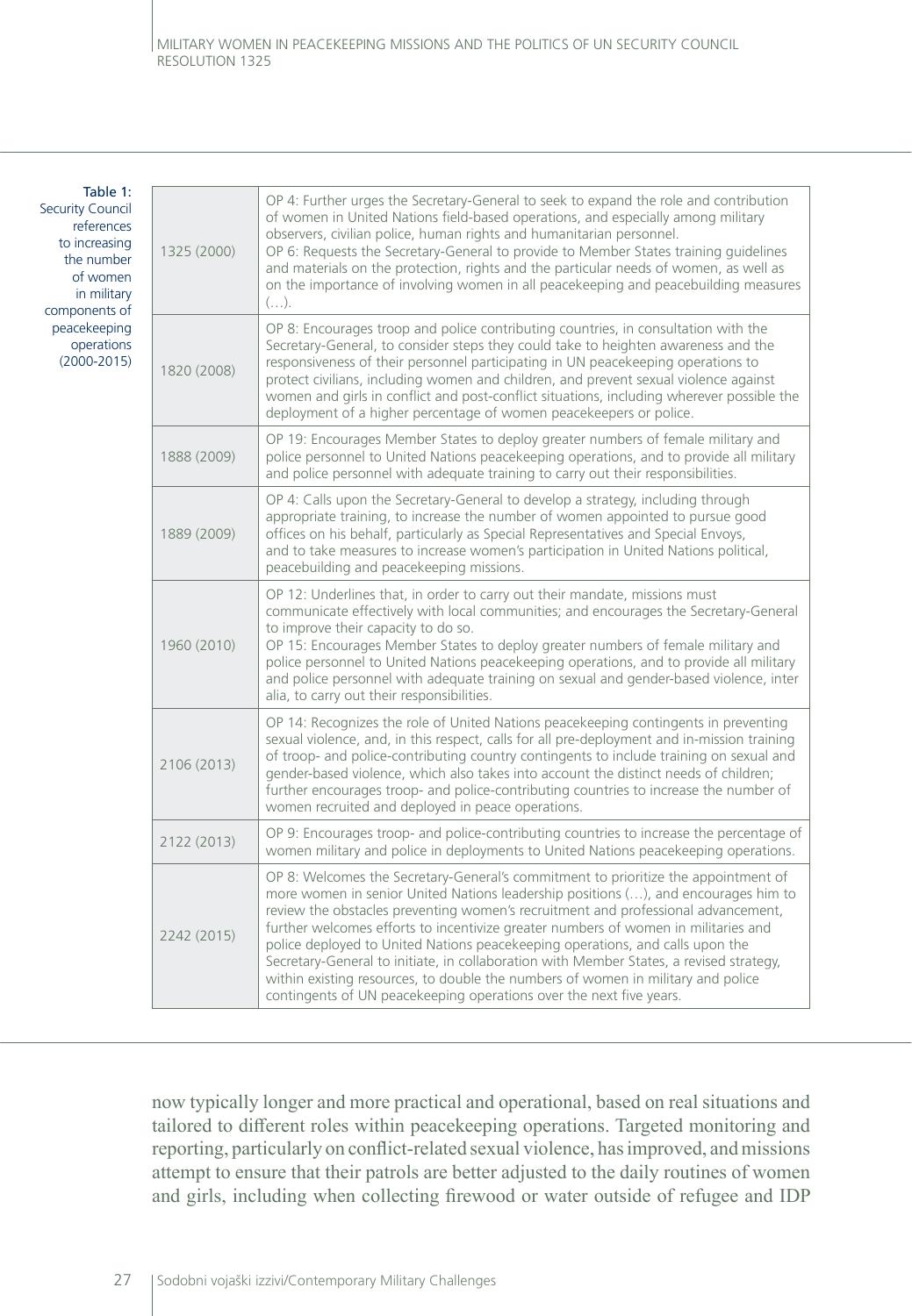٦

#### Table 1: Security Council references to increasing the number of women in military components of peacekeeping operations (2000-2015)

 $\Box$ 

| 1325 (2000) | OP 4: Further urges the Secretary-General to seek to expand the role and contribution<br>of women in United Nations field-based operations, and especially among military<br>observers, civilian police, human rights and humanitarian personnel.<br>OP 6: Requests the Secretary-General to provide to Member States training guidelines<br>and materials on the protection, rights and the particular needs of women, as well as<br>on the importance of involving women in all peacekeeping and peacebuilding measures<br>$( \ldots )$ .                                                                                                                                                |
|-------------|--------------------------------------------------------------------------------------------------------------------------------------------------------------------------------------------------------------------------------------------------------------------------------------------------------------------------------------------------------------------------------------------------------------------------------------------------------------------------------------------------------------------------------------------------------------------------------------------------------------------------------------------------------------------------------------------|
| 1820 (2008) | OP 8: Encourages troop and police contributing countries, in consultation with the<br>Secretary-General, to consider steps they could take to heighten awareness and the<br>responsiveness of their personnel participating in UN peacekeeping operations to<br>protect civilians, including women and children, and prevent sexual violence against<br>women and girls in conflict and post-conflict situations, including wherever possible the<br>deployment of a higher percentage of women peacekeepers or police.                                                                                                                                                                    |
| 1888 (2009) | OP 19: Encourages Member States to deploy greater numbers of female military and<br>police personnel to United Nations peacekeeping operations, and to provide all military<br>and police personnel with adequate training to carry out their responsibilities.                                                                                                                                                                                                                                                                                                                                                                                                                            |
| 1889 (2009) | OP 4: Calls upon the Secretary-General to develop a strategy, including through<br>appropriate training, to increase the number of women appointed to pursue good<br>offices on his behalf, particularly as Special Representatives and Special Envoys,<br>and to take measures to increase women's participation in United Nations political,<br>peacebuilding and peacekeeping missions.                                                                                                                                                                                                                                                                                                 |
| 1960 (2010) | OP 12: Underlines that, in order to carry out their mandate, missions must<br>communicate effectively with local communities; and encourages the Secretary-General<br>to improve their capacity to do so.<br>OP 15: Encourages Member States to deploy greater numbers of female military and<br>police personnel to United Nations peacekeeping operations, and to provide all military<br>and police personnel with adequate training on sexual and gender-based violence, inter<br>alia, to carry out their responsibilities.                                                                                                                                                           |
| 2106 (2013) | OP 14: Recognizes the role of United Nations peacekeeping contingents in preventing<br>sexual violence, and, in this respect, calls for all pre-deployment and in-mission training<br>of troop- and police-contributing country contingents to include training on sexual and<br>gender-based violence, which also takes into account the distinct needs of children;<br>further encourages troop- and police-contributing countries to increase the number of<br>women recruited and deployed in peace operations.                                                                                                                                                                        |
| 2122 (2013) | OP 9: Encourages troop- and police-contributing countries to increase the percentage of<br>women military and police in deployments to United Nations peacekeeping operations.                                                                                                                                                                                                                                                                                                                                                                                                                                                                                                             |
| 2242 (2015) | OP 8: Welcomes the Secretary-General's commitment to prioritize the appointment of<br>more women in senior United Nations leadership positions (), and encourages him to<br>review the obstacles preventing women's recruitment and professional advancement,<br>further welcomes efforts to incentivize greater numbers of women in militaries and<br>police deployed to United Nations peacekeeping operations, and calls upon the<br>Secretary-General to initiate, in collaboration with Member States, a revised strategy,<br>within existing resources, to double the numbers of women in military and police<br>contingents of UN peacekeeping operations over the next five years. |

now typically longer and more practical and operational, based on real situations and tailored to different roles within peacekeeping operations. Targeted monitoring and reporting, particularly on conflict-related sexual violence, has improved, and missions attempt to ensure that their patrols are better adjusted to the daily routines of women and girls, including when collecting firewood or water outside of refugee and IDP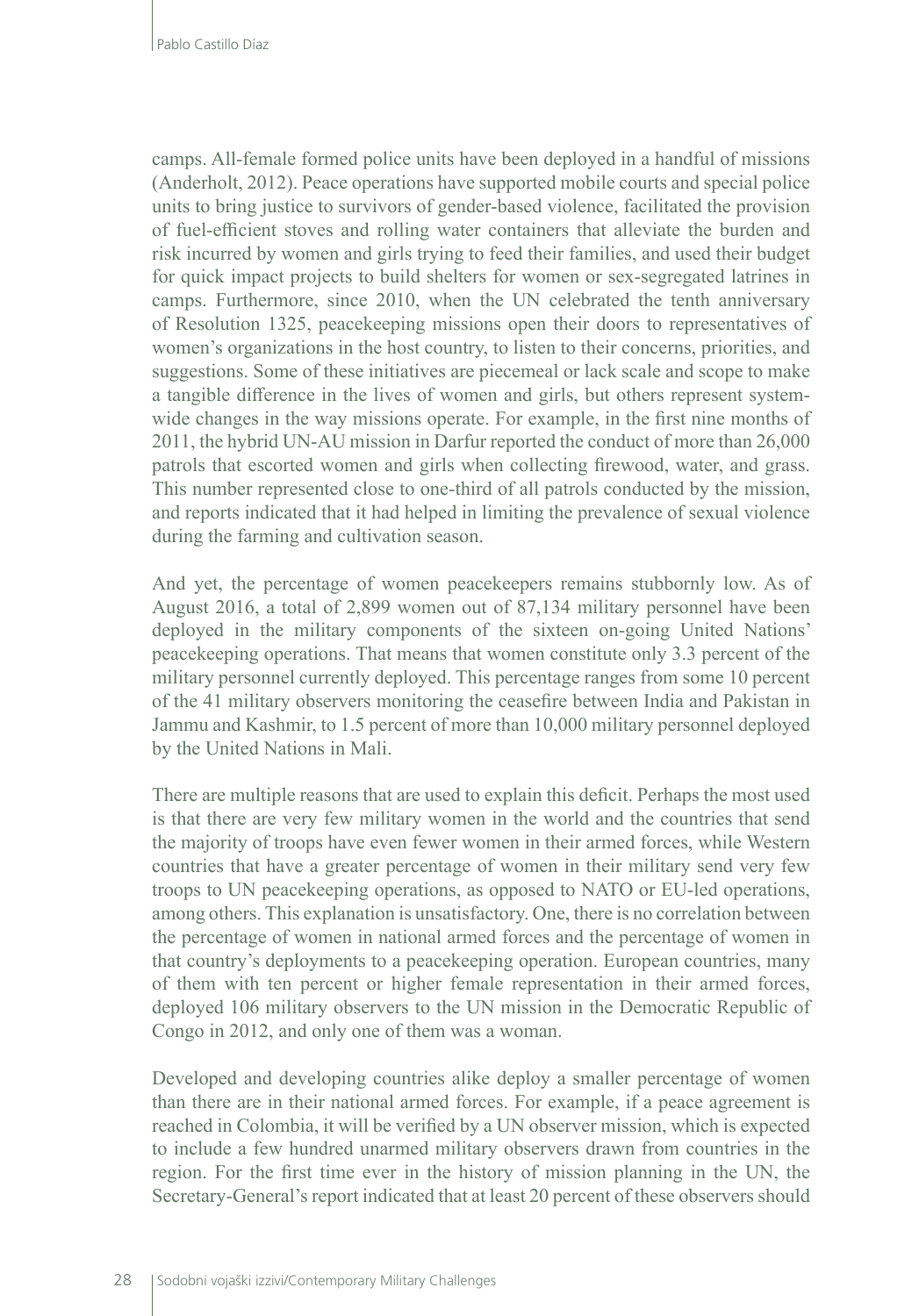camps. All-female formed police units have been deployed in a handful of missions (Anderholt, 2012). Peace operations have supported mobile courts and special police units to bring justice to survivors of gender-based violence, facilitated the provision of fuel-efficient stoves and rolling water containers that alleviate the burden and risk incurred by women and girls trying to feed their families, and used their budget for quick impact projects to build shelters for women or sex-segregated latrines in camps. Furthermore, since 2010, when the UN celebrated the tenth anniversary of Resolution 1325, peacekeeping missions open their doors to representatives of women's organizations in the host country, to listen to their concerns, priorities, and suggestions. Some of these initiatives are piecemeal or lack scale and scope to make a tangible difference in the lives of women and girls, but others represent systemwide changes in the way missions operate. For example, in the first nine months of 2011, the hybrid UN-AU mission in Darfur reported the conduct of more than 26,000 patrols that escorted women and girls when collecting firewood, water, and grass. This number represented close to one-third of all patrols conducted by the mission, and reports indicated that it had helped in limiting the prevalence of sexual violence during the farming and cultivation season.

And yet, the percentage of women peacekeepers remains stubbornly low. As of August 2016, a total of 2,899 women out of 87,134 military personnel have been deployed in the military components of the sixteen on-going United Nations' peacekeeping operations. That means that women constitute only 3.3 percent of the military personnel currently deployed. This percentage ranges from some 10 percent of the 41 military observers monitoring the ceasefire between India and Pakistan in Jammu and Kashmir, to 1.5 percent of more than 10,000 military personnel deployed by the United Nations in Mali.

There are multiple reasons that are used to explain this deficit. Perhaps the most used is that there are very few military women in the world and the countries that send the majority of troops have even fewer women in their armed forces, while Western countries that have a greater percentage of women in their military send very few troops to UN peacekeeping operations, as opposed to NATO or EU-led operations, among others. This explanation is unsatisfactory. One, there is no correlation between the percentage of women in national armed forces and the percentage of women in that country's deployments to a peacekeeping operation. European countries, many of them with ten percent or higher female representation in their armed forces, deployed 106 military observers to the UN mission in the Democratic Republic of Congo in 2012, and only one of them was a woman.

Developed and developing countries alike deploy a smaller percentage of women than there are in their national armed forces. For example, if a peace agreement is reached in Colombia, it will be verified by a UN observer mission, which is expected to include a few hundred unarmed military observers drawn from countries in the region. For the first time ever in the history of mission planning in the UN, the Secretary-General's report indicated that at least 20 percent of these observers should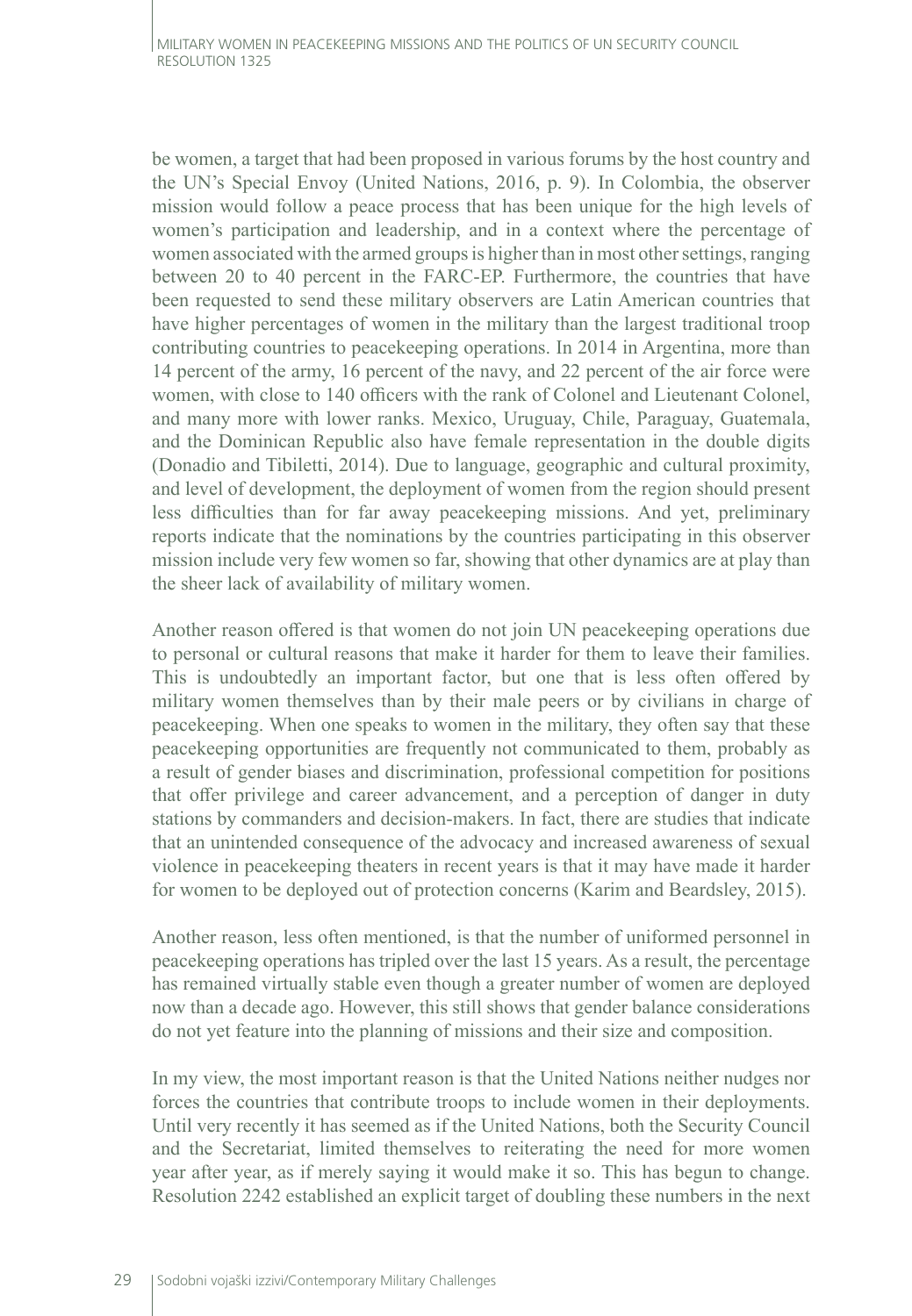be women, a target that had been proposed in various forums by the host country and the UN's Special Envoy (United Nations, 2016, p. 9). In Colombia, the observer mission would follow a peace process that has been unique for the high levels of women's participation and leadership, and in a context where the percentage of women associated with the armed groups is higher than in most other settings, ranging between 20 to 40 percent in the FARC-EP. Furthermore, the countries that have been requested to send these military observers are Latin American countries that have higher percentages of women in the military than the largest traditional troop contributing countries to peacekeeping operations. In 2014 in Argentina, more than 14 percent of the army, 16 percent of the navy, and 22 percent of the air force were women, with close to 140 officers with the rank of Colonel and Lieutenant Colonel, and many more with lower ranks. Mexico, Uruguay, Chile, Paraguay, Guatemala, and the Dominican Republic also have female representation in the double digits (Donadio and Tibiletti, 2014). Due to language, geographic and cultural proximity, and level of development, the deployment of women from the region should present less difficulties than for far away peacekeeping missions. And yet, preliminary reports indicate that the nominations by the countries participating in this observer mission include very few women so far, showing that other dynamics are at play than the sheer lack of availability of military women.

Another reason offered is that women do not join UN peacekeeping operations due to personal or cultural reasons that make it harder for them to leave their families. This is undoubtedly an important factor, but one that is less often offered by military women themselves than by their male peers or by civilians in charge of peacekeeping. When one speaks to women in the military, they often say that these peacekeeping opportunities are frequently not communicated to them, probably as a result of gender biases and discrimination, professional competition for positions that offer privilege and career advancement, and a perception of danger in duty stations by commanders and decision-makers. In fact, there are studies that indicate that an unintended consequence of the advocacy and increased awareness of sexual violence in peacekeeping theaters in recent years is that it may have made it harder for women to be deployed out of protection concerns (Karim and Beardsley, 2015).

Another reason, less often mentioned, is that the number of uniformed personnel in peacekeeping operations has tripled over the last 15 years. As a result, the percentage has remained virtually stable even though a greater number of women are deployed now than a decade ago. However, this still shows that gender balance considerations do not yet feature into the planning of missions and their size and composition.

In my view, the most important reason is that the United Nations neither nudges nor forces the countries that contribute troops to include women in their deployments. Until very recently it has seemed as if the United Nations, both the Security Council and the Secretariat, limited themselves to reiterating the need for more women year after year, as if merely saying it would make it so. This has begun to change. Resolution 2242 established an explicit target of doubling these numbers in the next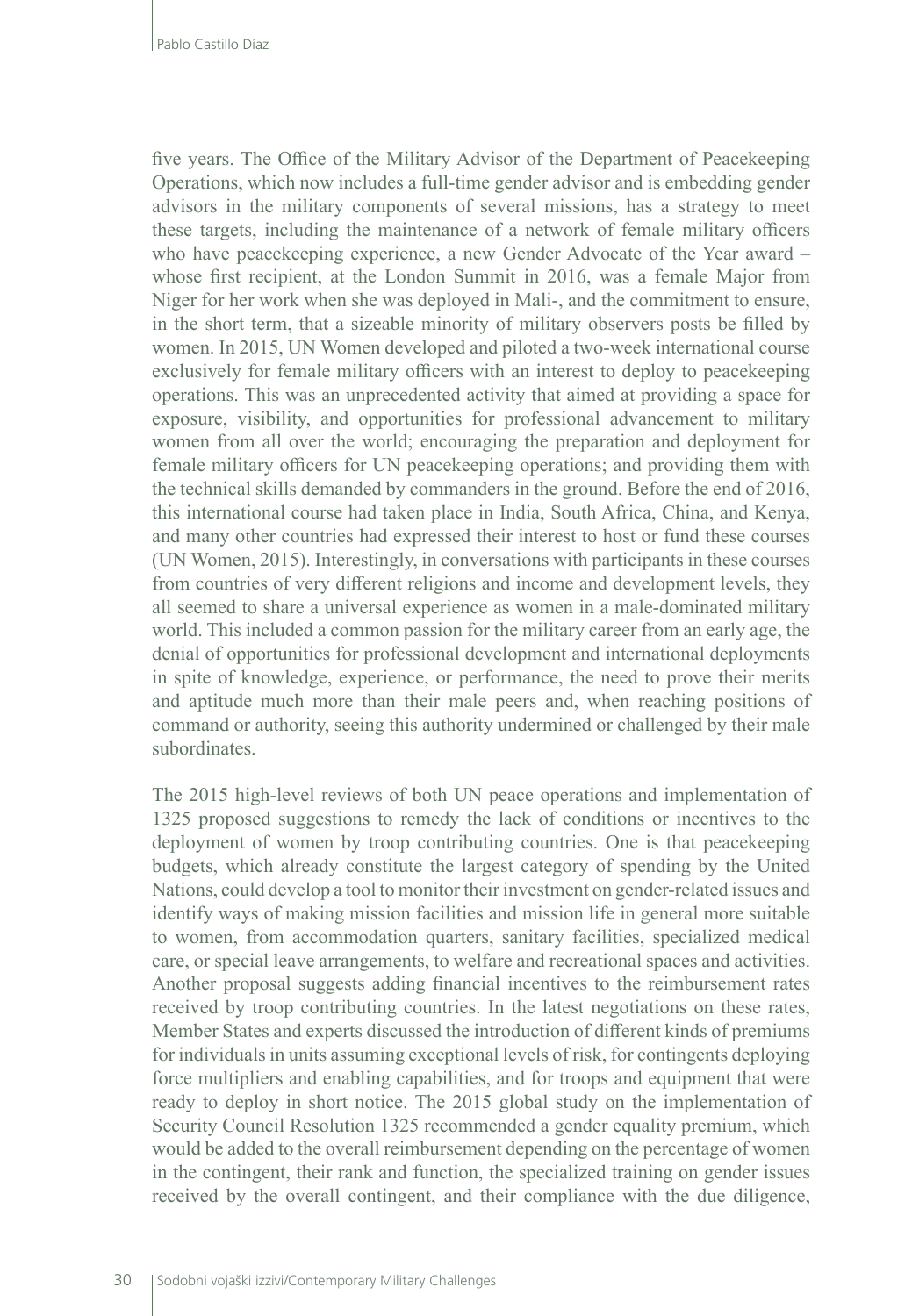five years. The Office of the Military Advisor of the Department of Peacekeeping Operations, which now includes a full-time gender advisor and is embedding gender advisors in the military components of several missions, has a strategy to meet these targets, including the maintenance of a network of female military officers who have peacekeeping experience, a new Gender Advocate of the Year award – whose first recipient, at the London Summit in 2016, was a female Major from Niger for her work when she was deployed in Mali-, and the commitment to ensure, in the short term, that a sizeable minority of military observers posts be filled by women. In 2015, UN Women developed and piloted a two-week international course exclusively for female military officers with an interest to deploy to peacekeeping operations. This was an unprecedented activity that aimed at providing a space for exposure, visibility, and opportunities for professional advancement to military women from all over the world; encouraging the preparation and deployment for female military officers for UN peacekeeping operations; and providing them with the technical skills demanded by commanders in the ground. Before the end of 2016, this international course had taken place in India, South Africa, China, and Kenya, and many other countries had expressed their interest to host or fund these courses (UN Women, 2015). Interestingly, in conversations with participants in these courses from countries of very different religions and income and development levels, they all seemed to share a universal experience as women in a male-dominated military world. This included a common passion for the military career from an early age, the denial of opportunities for professional development and international deployments in spite of knowledge, experience, or performance, the need to prove their merits and aptitude much more than their male peers and, when reaching positions of command or authority, seeing this authority undermined or challenged by their male subordinates.

The 2015 high-level reviews of both UN peace operations and implementation of 1325 proposed suggestions to remedy the lack of conditions or incentives to the deployment of women by troop contributing countries. One is that peacekeeping budgets, which already constitute the largest category of spending by the United Nations, could develop a tool to monitor their investment on gender-related issues and identify ways of making mission facilities and mission life in general more suitable to women, from accommodation quarters, sanitary facilities, specialized medical care, or special leave arrangements, to welfare and recreational spaces and activities. Another proposal suggests adding financial incentives to the reimbursement rates received by troop contributing countries. In the latest negotiations on these rates, Member States and experts discussed the introduction of different kinds of premiums for individuals in units assuming exceptional levels of risk, for contingents deploying force multipliers and enabling capabilities, and for troops and equipment that were ready to deploy in short notice. The 2015 global study on the implementation of Security Council Resolution 1325 recommended a gender equality premium, which would be added to the overall reimbursement depending on the percentage of women in the contingent, their rank and function, the specialized training on gender issues received by the overall contingent, and their compliance with the due diligence,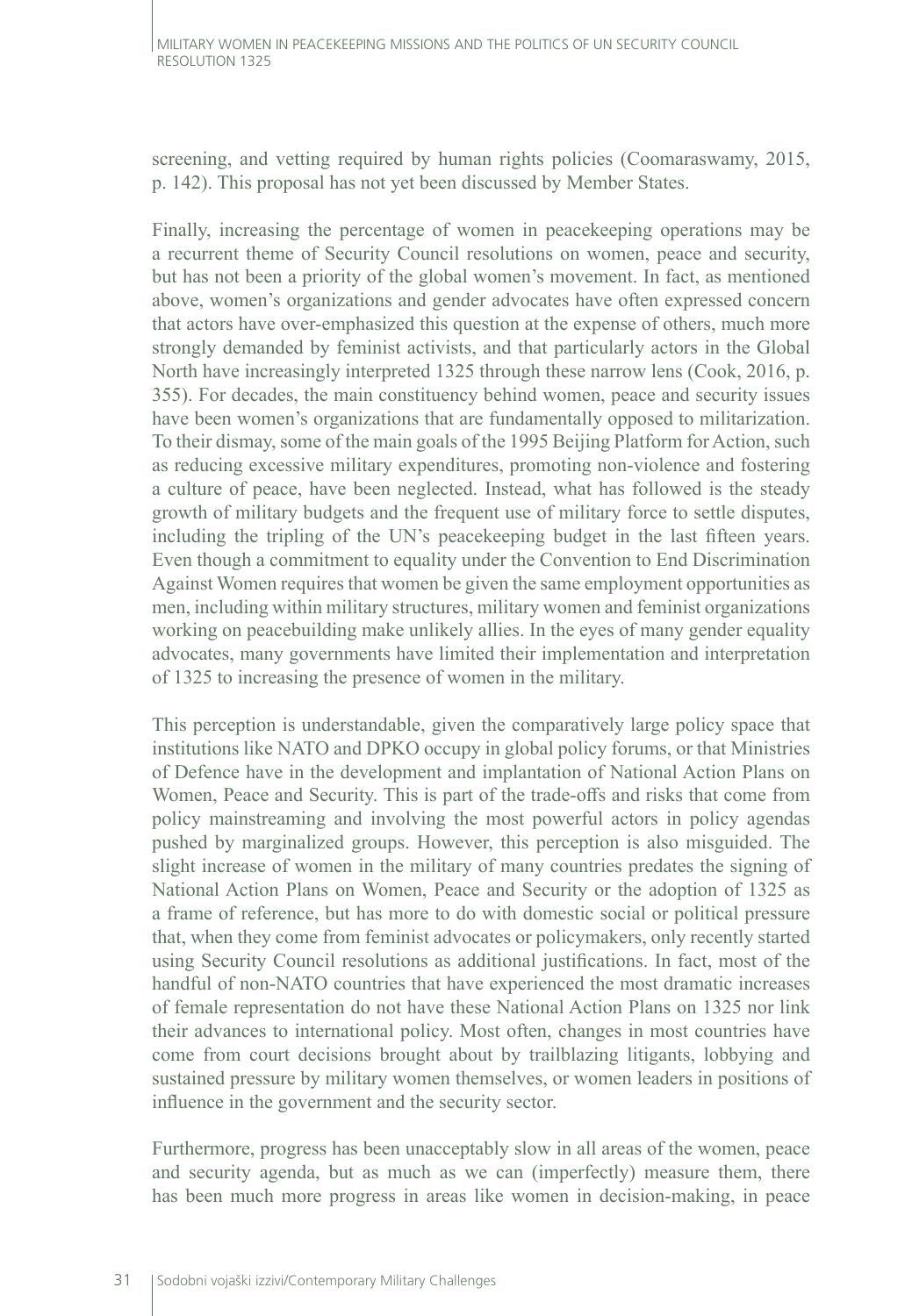screening, and vetting required by human rights policies (Coomaraswamy, 2015, p. 142). This proposal has not yet been discussed by Member States.

Finally, increasing the percentage of women in peacekeeping operations may be a recurrent theme of Security Council resolutions on women, peace and security, but has not been a priority of the global women's movement. In fact, as mentioned above, women's organizations and gender advocates have often expressed concern that actors have over-emphasized this question at the expense of others, much more strongly demanded by feminist activists, and that particularly actors in the Global North have increasingly interpreted 1325 through these narrow lens (Cook, 2016, p. 355). For decades, the main constituency behind women, peace and security issues have been women's organizations that are fundamentally opposed to militarization. To their dismay, some of the main goals of the 1995 Beijing Platform for Action, such as reducing excessive military expenditures, promoting non-violence and fostering a culture of peace, have been neglected. Instead, what has followed is the steady growth of military budgets and the frequent use of military force to settle disputes, including the tripling of the UN's peacekeeping budget in the last fifteen years. Even though a commitment to equality under the Convention to End Discrimination Against Women requires that women be given the same employment opportunities as men, including within military structures, military women and feminist organizations working on peacebuilding make unlikely allies. In the eyes of many gender equality advocates, many governments have limited their implementation and interpretation of 1325 to increasing the presence of women in the military.

This perception is understandable, given the comparatively large policy space that institutions like NATO and DPKO occupy in global policy forums, or that Ministries of Defence have in the development and implantation of National Action Plans on Women, Peace and Security. This is part of the trade-offs and risks that come from policy mainstreaming and involving the most powerful actors in policy agendas pushed by marginalized groups. However, this perception is also misguided. The slight increase of women in the military of many countries predates the signing of National Action Plans on Women, Peace and Security or the adoption of 1325 as a frame of reference, but has more to do with domestic social or political pressure that, when they come from feminist advocates or policymakers, only recently started using Security Council resolutions as additional justifications. In fact, most of the handful of non-NATO countries that have experienced the most dramatic increases of female representation do not have these National Action Plans on 1325 nor link their advances to international policy. Most often, changes in most countries have come from court decisions brought about by trailblazing litigants, lobbying and sustained pressure by military women themselves, or women leaders in positions of influence in the government and the security sector.

Furthermore, progress has been unacceptably slow in all areas of the women, peace and security agenda, but as much as we can (imperfectly) measure them, there has been much more progress in areas like women in decision-making, in peace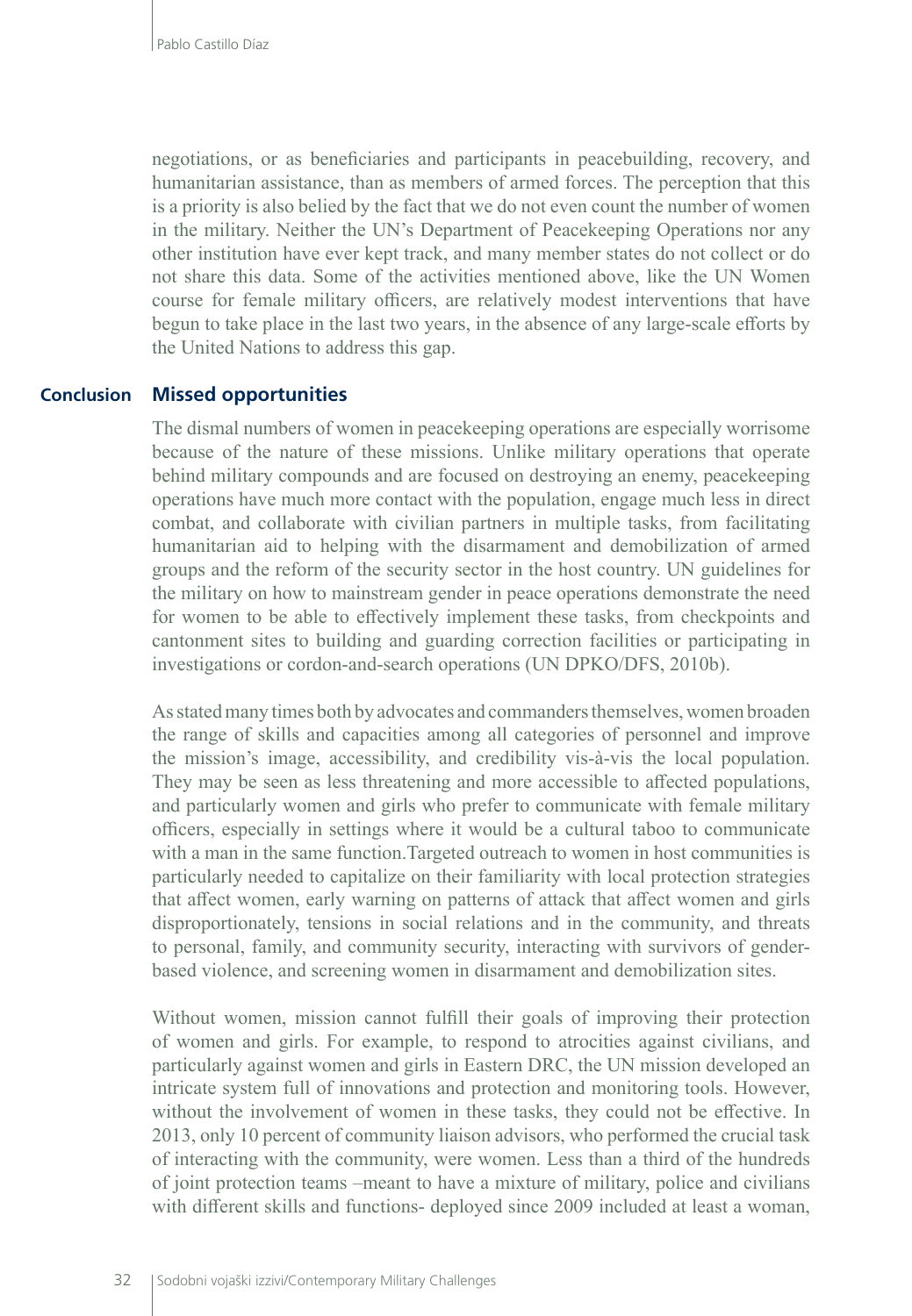negotiations, or as beneficiaries and participants in peacebuilding, recovery, and humanitarian assistance, than as members of armed forces. The perception that this is a priority is also belied by the fact that we do not even count the number of women in the military. Neither the UN's Department of Peacekeeping Operations nor any other institution have ever kept track, and many member states do not collect or do not share this data. Some of the activities mentioned above, like the UN Women course for female military officers, are relatively modest interventions that have begun to take place in the last two years, in the absence of any large-scale efforts by the United Nations to address this gap.

#### **Missed opportunities Conclusion**

The dismal numbers of women in peacekeeping operations are especially worrisome because of the nature of these missions. Unlike military operations that operate behind military compounds and are focused on destroying an enemy, peacekeeping operations have much more contact with the population, engage much less in direct combat, and collaborate with civilian partners in multiple tasks, from facilitating humanitarian aid to helping with the disarmament and demobilization of armed groups and the reform of the security sector in the host country. UN guidelines for the military on how to mainstream gender in peace operations demonstrate the need for women to be able to effectively implement these tasks, from checkpoints and cantonment sites to building and guarding correction facilities or participating in investigations or cordon-and-search operations (UN DPKO/DFS, 2010b).

As stated many times both by advocates and commanders themselves, women broaden the range of skills and capacities among all categories of personnel and improve the mission's image, accessibility, and credibility vis-à-vis the local population. They may be seen as less threatening and more accessible to affected populations, and particularly women and girls who prefer to communicate with female military officers, especially in settings where it would be a cultural taboo to communicate with a man in the same function. Targeted outreach to women in host communities is particularly needed to capitalize on their familiarity with local protection strategies that affect women, early warning on patterns of attack that affect women and girls disproportionately, tensions in social relations and in the community, and threats to personal, family, and community security, interacting with survivors of genderbased violence, and screening women in disarmament and demobilization sites.

Without women, mission cannot fulfill their goals of improving their protection of women and girls. For example, to respond to atrocities against civilians, and particularly against women and girls in Eastern DRC, the UN mission developed an intricate system full of innovations and protection and monitoring tools. However, without the involvement of women in these tasks, they could not be effective. In 2013, only 10 percent of community liaison advisors, who performed the crucial task of interacting with the community, were women. Less than a third of the hundreds of joint protection teams –meant to have a mixture of military, police and civilians with different skills and functions- deployed since 2009 included at least a woman,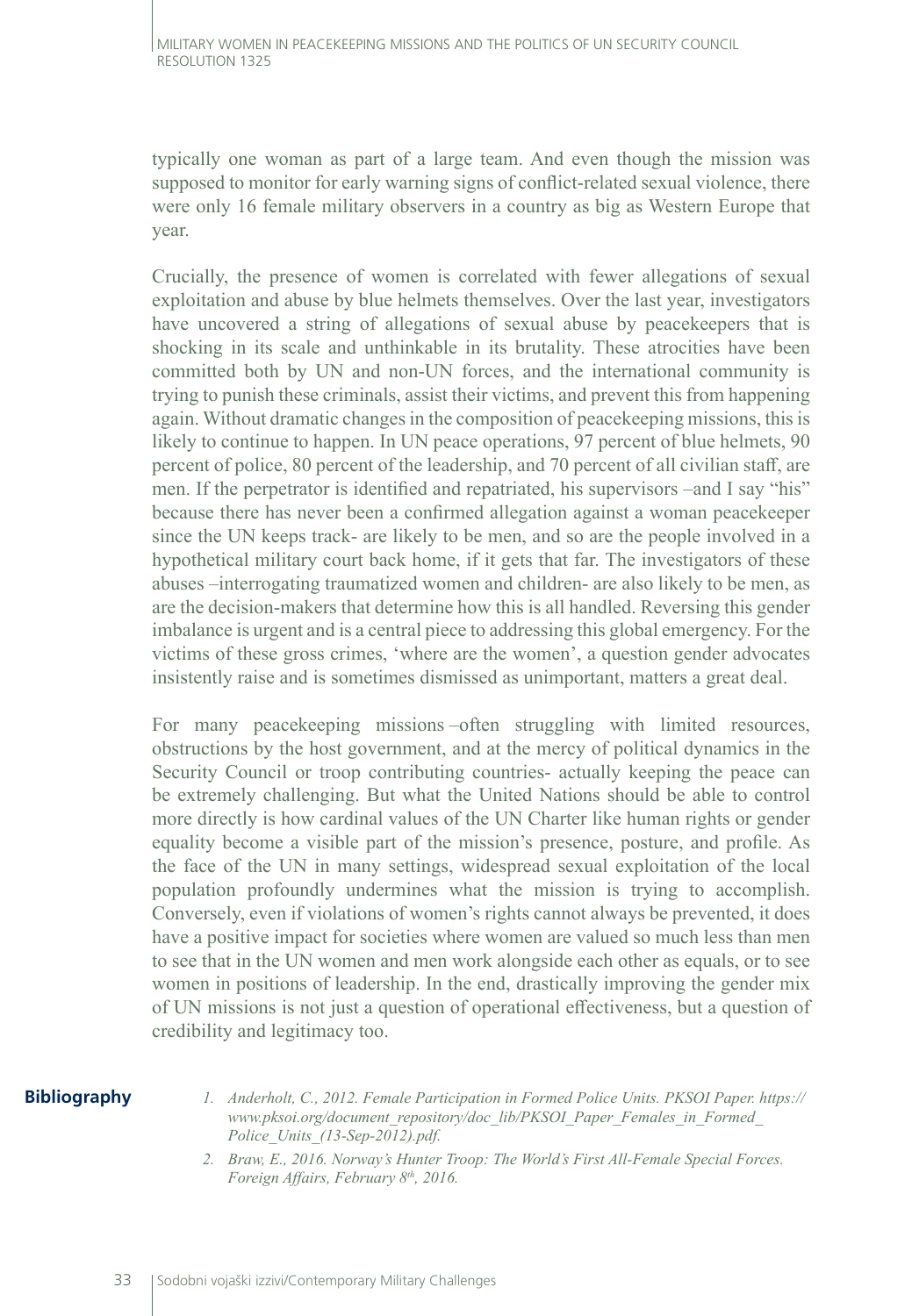typically one woman as part of a large team. And even though the mission was supposed to monitor for early warning signs of conflict-related sexual violence, there were only 16 female military observers in a country as big as Western Europe that year.

Crucially, the presence of women is correlated with fewer allegations of sexual exploitation and abuse by blue helmets themselves. Over the last year, investigators have uncovered a string of allegations of sexual abuse by peacekeepers that is shocking in its scale and unthinkable in its brutality. These atrocities have been committed both by UN and non-UN forces, and the international community is trying to punish these criminals, assist their victims, and prevent this from happening again. Without dramatic changes in the composition of peacekeeping missions, this is likely to continue to happen. In UN peace operations, 97 percent of blue helmets, 90 percent of police, 80 percent of the leadership, and 70 percent of all civilian staff, are men. If the perpetrator is identified and repatriated, his supervisors –and I say "his" because there has never been a confirmed allegation against a woman peacekeeper since the UN keeps track- are likely to be men, and so are the people involved in a hypothetical military court back home, if it gets that far. The investigators of these abuses –interrogating traumatized women and children- are also likely to be men, as are the decision-makers that determine how this is all handled. Reversing this gender imbalance is urgent and is a central piece to addressing this global emergency. For the victims of these gross crimes, 'where are the women', a question gender advocates insistently raise and is sometimes dismissed as unimportant, matters a great deal.

For many peacekeeping missions –often struggling with limited resources, obstructions by the host government, and at the mercy of political dynamics in the Security Council or troop contributing countries- actually keeping the peace can be extremely challenging. But what the United Nations should be able to control more directly is how cardinal values of the UN Charter like human rights or gender equality become a visible part of the mission's presence, posture, and profile. As the face of the UN in many settings, widespread sexual exploitation of the local population profoundly undermines what the mission is trying to accomplish. Conversely, even if violations of women's rights cannot always be prevented, it does have a positive impact for societies where women are valued so much less than men to see that in the UN women and men work alongside each other as equals, or to see women in positions of leadership. In the end, drastically improving the gender mix of UN missions is not just a question of operational effectiveness, but a question of credibility and legitimacy too.

#### **Bibliography**

- *1. Anderholt, C., 2012. Female Participation in Formed Police Units. PKSOI Paper. https:// www.pksoi.org/document\_repository/doc\_lib/PKSOI\_Paper\_Females\_in\_Formed\_ Police\_Units\_(13-Sep-2012).pdf.*
- *2. Braw, E., 2016. Norway's Hunter Troop: The World's First All-Female Special Forces. Foreign Affairs, February 8th, 2016.*